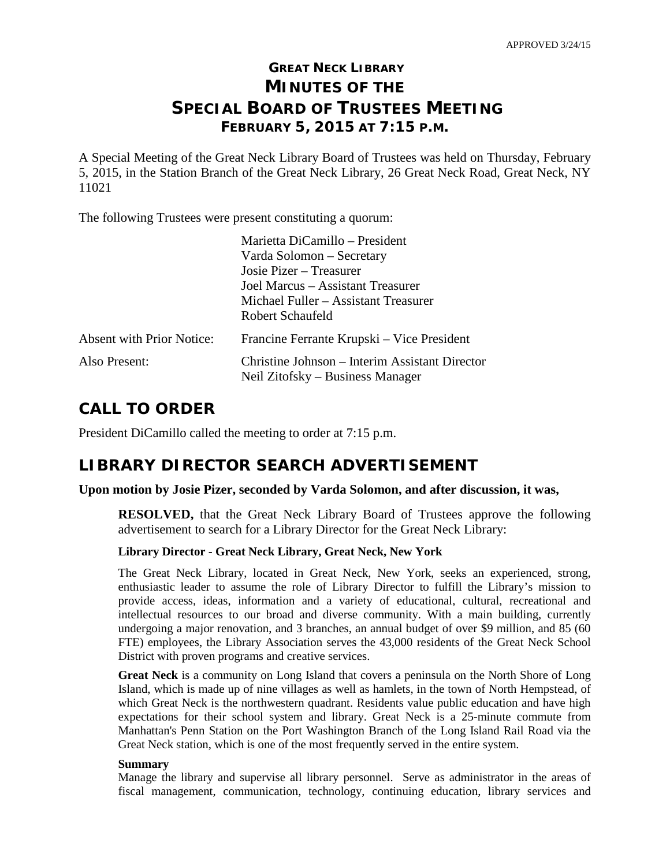# **GREAT NECK LIBRARY MINUTES OF THE SPECIAL BOARD OF TRUSTEES MEETING FEBRUARY 5, 2015 AT 7:15 P.M.**

A Special Meeting of the Great Neck Library Board of Trustees was held on Thursday, February 5, 2015, in the Station Branch of the Great Neck Library, 26 Great Neck Road, Great Neck, NY 11021

The following Trustees were present constituting a quorum:

|                                  | Marietta DiCamillo – President                 |
|----------------------------------|------------------------------------------------|
|                                  | Varda Solomon – Secretary                      |
|                                  | Josie Pizer – Treasurer                        |
|                                  | Joel Marcus – Assistant Treasurer              |
|                                  | Michael Fuller – Assistant Treasurer           |
|                                  | Robert Schaufeld                               |
| <b>Absent with Prior Notice:</b> | Francine Ferrante Krupski – Vice President     |
| Also Present:                    | Christine Johnson – Interim Assistant Director |
|                                  | Neil Zitofsky – Business Manager               |

## **CALL TO ORDER**

President DiCamillo called the meeting to order at 7:15 p.m.

## **LIBRARY DIRECTOR SEARCH ADVERTISEMENT**

### **Upon motion by Josie Pizer, seconded by Varda Solomon, and after discussion, it was,**

**RESOLVED,** that the Great Neck Library Board of Trustees approve the following advertisement to search for a Library Director for the Great Neck Library:

### **Library Director - Great Neck Library, Great Neck, New York**

The Great Neck Library, located in Great Neck, New York, seeks an experienced, strong, enthusiastic leader to assume the role of Library Director to fulfill the Library's mission to provide access, ideas, information and a variety of educational, cultural, recreational and intellectual resources to our broad and diverse community. With a main building, currently undergoing a major renovation, and 3 branches, an annual budget of over \$9 million, and 85 (60 FTE) employees, the Library Association serves the 43,000 residents of the Great Neck School District with proven programs and creative services.

**Great Neck** is a community on Long Island that covers a peninsula on the North Shore of Long Island, which is made up of nine villages as well as hamlets, in the town of North Hempstead, of which Great Neck is the northwestern quadrant. Residents value public education and have high expectations for their school system and library. Great Neck is a 25-minute commute from Manhattan's Penn Station on the Port Washington Branch of the Long Island Rail Road via the Great Neck station, which is one of the most frequently served in the entire system.

### **Summary**

Manage the library and supervise all library personnel. Serve as administrator in the areas of fiscal management, communication, technology, continuing education, library services and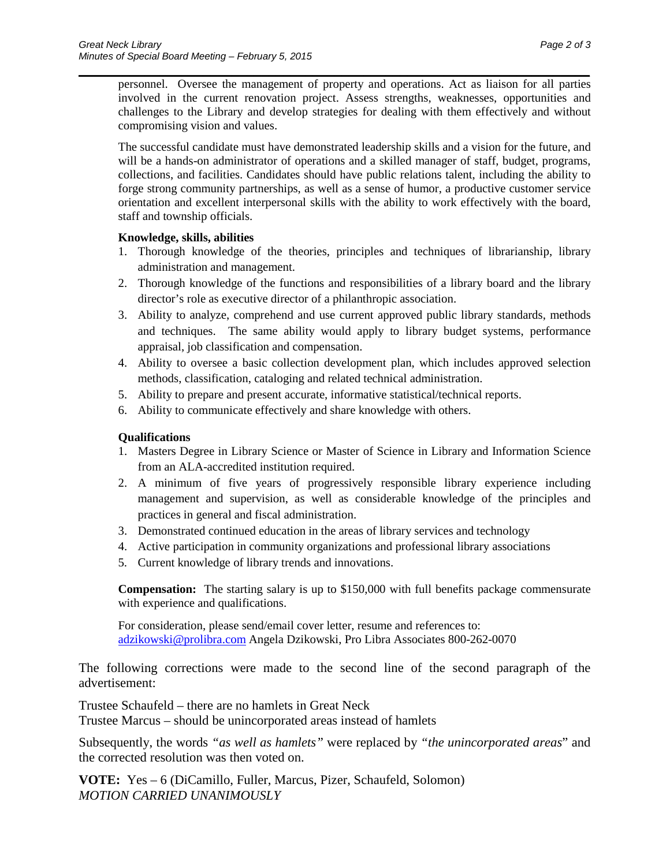personnel. Oversee the management of property and operations. Act as liaison for all parties involved in the current renovation project. Assess strengths, weaknesses, opportunities and challenges to the Library and develop strategies for dealing with them effectively and without compromising vision and values.

\_\_\_\_\_\_\_\_\_\_\_\_\_\_\_\_\_\_\_\_\_\_\_\_\_\_\_\_\_\_\_\_\_\_\_\_\_\_\_\_\_\_\_\_\_\_\_\_\_\_\_\_\_\_\_\_\_\_\_\_\_\_\_\_\_\_\_\_\_\_

The successful candidate must have demonstrated leadership skills and a vision for the future, and will be a hands-on administrator of operations and a skilled manager of staff, budget, programs, collections, and facilities. Candidates should have public relations talent, including the ability to forge strong community partnerships, as well as a sense of humor, a productive customer service orientation and excellent interpersonal skills with the ability to work effectively with the board, staff and township officials.

### **Knowledge, skills, abilities**

- 1. Thorough knowledge of the theories, principles and techniques of librarianship, library administration and management.
- 2. Thorough knowledge of the functions and responsibilities of a library board and the library director's role as executive director of a philanthropic association.
- 3. Ability to analyze, comprehend and use current approved public library standards, methods and techniques. The same ability would apply to library budget systems, performance appraisal, job classification and compensation.
- 4. Ability to oversee a basic collection development plan, which includes approved selection methods, classification, cataloging and related technical administration.
- 5. Ability to prepare and present accurate, informative statistical/technical reports.
- 6. Ability to communicate effectively and share knowledge with others.

### **Qualifications**

- 1. Masters Degree in Library Science or Master of Science in Library and Information Science from an ALA-accredited institution required.
- 2. A minimum of five years of progressively responsible library experience including management and supervision, as well as considerable knowledge of the principles and practices in general and fiscal administration.
- 3. Demonstrated continued education in the areas of library services and technology
- 4. Active participation in community organizations and professional library associations
- 5. Current knowledge of library trends and innovations.

**Compensation:** The starting salary is up to \$150,000 with full benefits package commensurate with experience and qualifications.

For consideration, please send/email cover letter, resume and references to: [adzikowski@prolibra.com](mailto:adzikowski@prolibra.com) Angela Dzikowski, Pro Libra Associates 800-262-0070

The following corrections were made to the second line of the second paragraph of the advertisement:

Trustee Schaufeld – there are no hamlets in Great Neck Trustee Marcus – should be unincorporated areas instead of hamlets

Subsequently, the words *"as well as hamlets"* were replaced by *"the unincorporated areas*" and the corrected resolution was then voted on.

**VOTE:** Yes – 6 (DiCamillo, Fuller, Marcus, Pizer, Schaufeld, Solomon) *MOTION CARRIED UNANIMOUSLY*